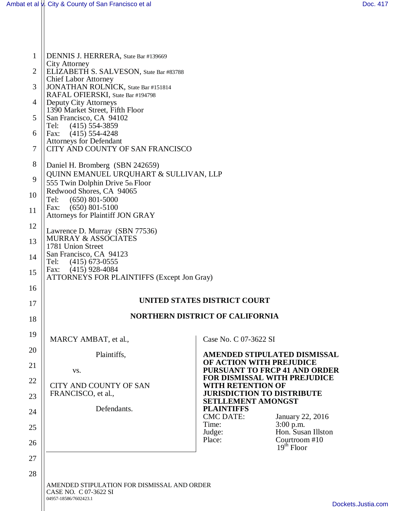04957-18586/7602423.1

| 1              | DENNIS J. HERRERA, State Bar #139669                                                  |                                                                 |                                   |
|----------------|---------------------------------------------------------------------------------------|-----------------------------------------------------------------|-----------------------------------|
| $\overline{2}$ | <b>City Attorney</b><br>ELIZABETH S. SALVESON, State Bar #83788                       |                                                                 |                                   |
| 3              | <b>Chief Labor Attorney</b><br>JONATHAN ROLNICK, State Bar #151814                    |                                                                 |                                   |
| $\overline{4}$ | RAFAL OFIERSKI, State Bar #194798<br>Deputy City Attorneys                            |                                                                 |                                   |
| 5              | 1390 Market Street, Fifth Floor<br>San Francisco, CA 94102                            |                                                                 |                                   |
| 6              | Tel:<br>$(415)$ 554-3859<br>$(415)$ 554-4248<br>Fax:                                  |                                                                 |                                   |
| $\overline{7}$ | <b>Attorneys for Defendant</b><br>CITY AND COUNTY OF SAN FRANCISCO                    |                                                                 |                                   |
| 8              | Daniel H. Bromberg (SBN 242659)                                                       |                                                                 |                                   |
| 9              | QUINN EMANUEL URQUHART & SULLIVAN, LLP<br>555 Twin Dolphin Drive 5th Floor            |                                                                 |                                   |
| 10             | Redwood Shores, CA 94065<br>Tel:<br>$(650)$ 801-5000                                  |                                                                 |                                   |
| 11             | $(650)$ 801-5100<br>Fax:<br>Attorneys for Plaintiff JON GRAY                          |                                                                 |                                   |
| 12             | Lawrence D. Murray (SBN 77536)<br><b>MURRAY &amp; ASSOCIATES</b><br>1781 Union Street |                                                                 |                                   |
| 13             |                                                                                       |                                                                 |                                   |
| 14             | San Francisco, CA 94123<br>Tel:<br>$(415)$ 673-0555                                   |                                                                 |                                   |
| 15             | $(415)$ 928-4084<br>Fax:<br><b>ATTORNEYS FOR PLAINTIFFS (Except Jon Gray)</b>         |                                                                 |                                   |
| 16             |                                                                                       |                                                                 |                                   |
| 17             | UNITED STATES DISTRICT COURT                                                          |                                                                 |                                   |
| 18             | <b>NORTHERN DISTRICT OF CALIFORNIA</b>                                                |                                                                 |                                   |
| 19             | MARCY AMBAT, et al.,                                                                  | Case No. C 07-3622 SI                                           |                                   |
| 20             | Plaintiffs,                                                                           |                                                                 | AMENDED STIPULATED DISMISSAL      |
| 21             | VS.                                                                                   | OF ACTION WITH PREJUDICE                                        | PURSUANT TO FRCP 41 AND ORDER     |
| 22             | <b>CITY AND COUNTY OF SAN</b>                                                         | <b>FOR DISMISSAL WITH PREJUDICE</b><br><b>WITH RETENTION OF</b> |                                   |
| 23             | FRANCISCO, et al.,                                                                    | <b>JURISDICTION TO DISTRIBUTE</b><br><b>SETLLEMENT AMONGST</b>  |                                   |
| 24             | Defendants.                                                                           | <b>PLAINTIFFS</b><br><b>CMC DATE:</b>                           | January 22, 2016                  |
| 25             |                                                                                       | Time:<br>Judge:                                                 | $3:00$ p.m.<br>Hon. Susan Illston |
| 26             |                                                                                       | Place:                                                          | Courtroom #10<br>$19th$ Floor     |
| 27             |                                                                                       |                                                                 |                                   |
| 28             | AMENDED STIPULATION FOR DISMISSAL AND ORDER<br>CASE NO. C 07-3622 SI                  |                                                                 |                                   |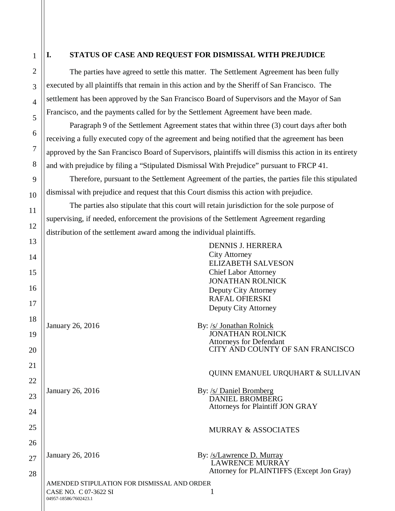1

2

3

4

5

6

7

8

9

10

11

12

## **I. STATUS OF CASE AND REQUEST FOR DISMISSAL WITH PREJUDICE**

The parties have agreed to settle this matter. The Settlement Agreement has been fully executed by all plaintiffs that remain in this action and by the Sheriff of San Francisco. The settlement has been approved by the San Francisco Board of Supervisors and the Mayor of San Francisco, and the payments called for by the Settlement Agreement have been made.

Paragraph 9 of the Settlement Agreement states that within three (3) court days after both receiving a fully executed copy of the agreement and being notified that the agreement has been approved by the San Francisco Board of Supervisors, plaintiffs will dismiss this action in its entirety and with prejudice by filing a "Stipulated Dismissal With Prejudice" pursuant to FRCP 41.

Therefore, pursuant to the Settlement Agreement of the parties, the parties file this stipulated dismissal with prejudice and request that this Court dismiss this action with prejudice.

The parties also stipulate that this court will retain jurisdiction for the sole purpose of supervising, if needed, enforcement the provisions of the Settlement Agreement regarding distribution of the settlement award among the individual plaintiffs.

AMENDED STIPULATION FOR DISMISSAL AND ORDER CASE NO. C 07-3622 SI 1 04957-18586/7602423.1 13 14 15 16 17 18 19 20 21 22 23 24 25 26 27 28 DENNIS J. HERRERA City Attorney ELIZABETH SALVESON Chief Labor Attorney JONATHAN ROLNICK Deputy City Attorney RAFAL OFIERSKI Deputy City Attorney January 26, 2016 By: /s/ Jonathan Rolnick JONATHAN ROLNICK Attorneys for Defendant CITY AND COUNTY OF SAN FRANCISCO QUINN EMANUEL URQUHART & SULLIVAN January 26, 2016 By: /s/ Daniel Bromberg DANIEL BROMBERG Attorneys for Plaintiff JON GRAY MURRAY & ASSOCIATES January 26, 2016 By: /s/Lawrence D. Murray LAWRENCE MURRAY Attorney for PLAINTIFFS (Except Jon Gray)